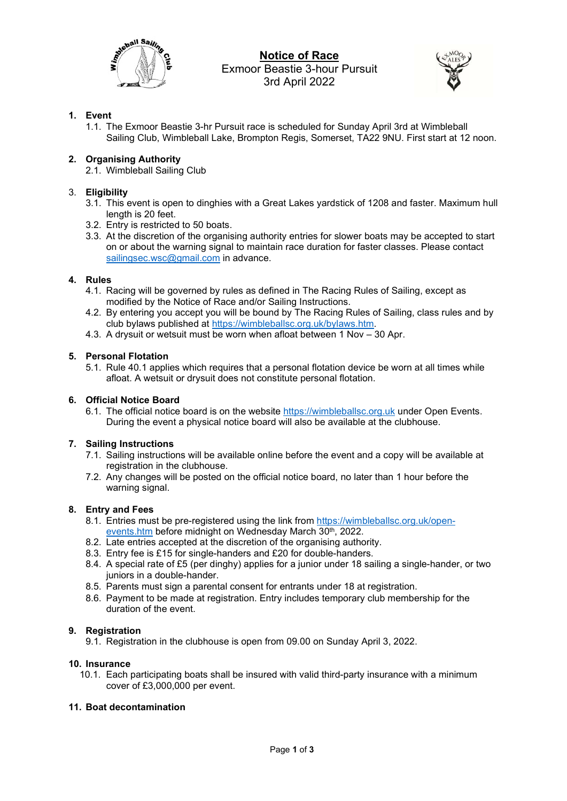

# Notice of Race Exmoor Beastie 3-hour Pursuit 3rd April 2022



# 1. Event

1.1. The Exmoor Beastie 3-hr Pursuit race is scheduled for Sunday April 3rd at Wimbleball Sailing Club, Wimbleball Lake, Brompton Regis, Somerset, TA22 9NU. First start at 12 noon.

# 2. Organising Authority

2.1. Wimbleball Sailing Club

## 3. Eligibility

- 3.1. This event is open to dinghies with a Great Lakes yardstick of 1208 and faster. Maximum hull length is 20 feet.
- 3.2. Entry is restricted to 50 boats.
- 3.3. At the discretion of the organising authority entries for slower boats may be accepted to start on or about the warning signal to maintain race duration for faster classes. Please contact sailingsec.wsc@gmail.com in advance.

## 4. Rules

- 4.1. Racing will be governed by rules as defined in The Racing Rules of Sailing, except as modified by the Notice of Race and/or Sailing Instructions.
- 4.2. By entering you accept you will be bound by The Racing Rules of Sailing, class rules and by club bylaws published at https://wimbleballsc.org.uk/bylaws.htm.
- 4.3. A drysuit or wetsuit must be worn when afloat between 1 Nov 30 Apr.

## 5. Personal Flotation

5.1. Rule 40.1 applies which requires that a personal flotation device be worn at all times while afloat. A wetsuit or drysuit does not constitute personal flotation.

## 6. Official Notice Board

6.1. The official notice board is on the website https://wimbleballsc.org.uk under Open Events. During the event a physical notice board will also be available at the clubhouse.

## 7. Sailing Instructions

- 7.1. Sailing instructions will be available online before the event and a copy will be available at registration in the clubhouse.
- 7.2. Any changes will be posted on the official notice board, no later than 1 hour before the warning signal.

## 8. Entry and Fees

- 8.1. Entries must be pre-registered using the link from https://wimbleballsc.org.uk/openevents.htm before midnight on Wednesday March 30<sup>th</sup>, 2022.
- 8.2. Late entries accepted at the discretion of the organising authority.
- 8.3. Entry fee is £15 for single-handers and £20 for double-handers.
- 8.4. A special rate of £5 (per dinghy) applies for a junior under 18 sailing a single-hander, or two juniors in a double-hander.
- 8.5. Parents must sign a parental consent for entrants under 18 at registration.
- 8.6. Payment to be made at registration. Entry includes temporary club membership for the duration of the event.

## 9. Registration

9.1. Registration in the clubhouse is open from 09.00 on Sunday April 3, 2022.

## 10. Insurance

10.1. Each participating boats shall be insured with valid third-party insurance with a minimum cover of £3,000,000 per event.

## 11. Boat decontamination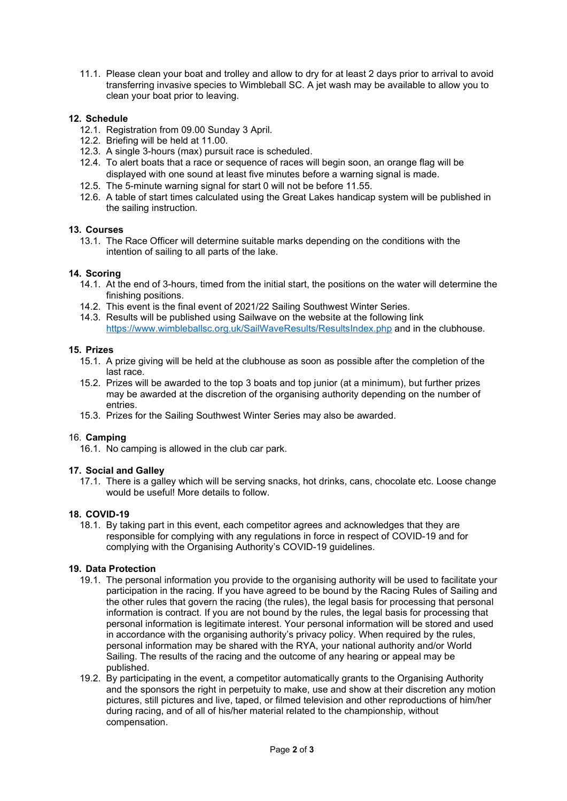11.1. Please clean your boat and trolley and allow to dry for at least 2 days prior to arrival to avoid transferring invasive species to Wimbleball SC. A jet wash may be available to allow you to clean your boat prior to leaving.

## 12. Schedule

- 12.1. Registration from 09.00 Sunday 3 April.
- 12.2. Briefing will be held at 11.00.
- 12.3. A single 3-hours (max) pursuit race is scheduled.
- 12.4. To alert boats that a race or sequence of races will begin soon, an orange flag will be displayed with one sound at least five minutes before a warning signal is made.
- 12.5. The 5-minute warning signal for start 0 will not be before 11.55.
- 12.6. A table of start times calculated using the Great Lakes handicap system will be published in the sailing instruction.

#### 13. Courses

13.1. The Race Officer will determine suitable marks depending on the conditions with the intention of sailing to all parts of the lake.

#### 14. Scoring

- 14.1. At the end of 3-hours, timed from the initial start, the positions on the water will determine the finishing positions.
- 14.2. This event is the final event of 2021/22 Sailing Southwest Winter Series.
- 14.3. Results will be published using Sailwave on the website at the following link https://www.wimbleballsc.org.uk/SailWaveResults/ResultsIndex.php and in the clubhouse.

#### 15. Prizes

- 15.1. A prize giving will be held at the clubhouse as soon as possible after the completion of the last race.
- 15.2. Prizes will be awarded to the top 3 boats and top junior (at a minimum), but further prizes may be awarded at the discretion of the organising authority depending on the number of entries.
- 15.3. Prizes for the Sailing Southwest Winter Series may also be awarded.

## 16. Camping

16.1. No camping is allowed in the club car park.

## 17. Social and Galley

17.1. There is a galley which will be serving snacks, hot drinks, cans, chocolate etc. Loose change would be useful! More details to follow.

#### 18. COVID-19

18.1. By taking part in this event, each competitor agrees and acknowledges that they are responsible for complying with any regulations in force in respect of COVID-19 and for complying with the Organising Authority's COVID-19 guidelines.

#### 19. Data Protection

- 19.1. The personal information you provide to the organising authority will be used to facilitate your participation in the racing. If you have agreed to be bound by the Racing Rules of Sailing and the other rules that govern the racing (the rules), the legal basis for processing that personal information is contract. If you are not bound by the rules, the legal basis for processing that personal information is legitimate interest. Your personal information will be stored and used in accordance with the organising authority's privacy policy. When required by the rules, personal information may be shared with the RYA, your national authority and/or World Sailing. The results of the racing and the outcome of any hearing or appeal may be published.
- 19.2. By participating in the event, a competitor automatically grants to the Organising Authority and the sponsors the right in perpetuity to make, use and show at their discretion any motion pictures, still pictures and live, taped, or filmed television and other reproductions of him/her during racing, and of all of his/her material related to the championship, without compensation.